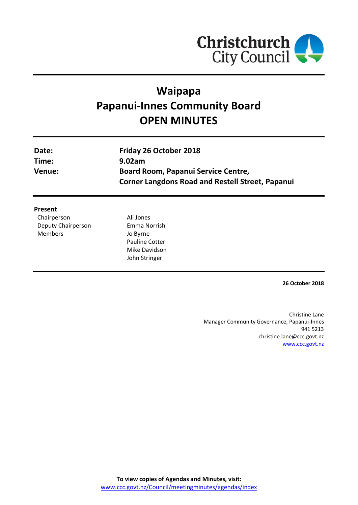

# **Waipapa Papanui-Innes Community Board OPEN MINUTES**

| Date:<br>Time: | Friday 26 October 2018<br>9.02am                                                               |
|----------------|------------------------------------------------------------------------------------------------|
| Venue:         | Board Room, Papanui Service Centre,<br><b>Corner Langdons Road and Restell Street, Papanui</b> |
|                |                                                                                                |

#### **Present**

| Chairperson        |
|--------------------|
| Deputy Chairperson |
| Members            |

Ali Jones Emma Norrish Jo Byrne Pauline Cotter Mike Davidson John Stringer

**26 October 2018**

Christine Lane Manager Community Governance, Papanui-Innes 941 5213 christine.lane@ccc.govt.nz [www.ccc.govt.nz](http://www.ccc.govt.nz/)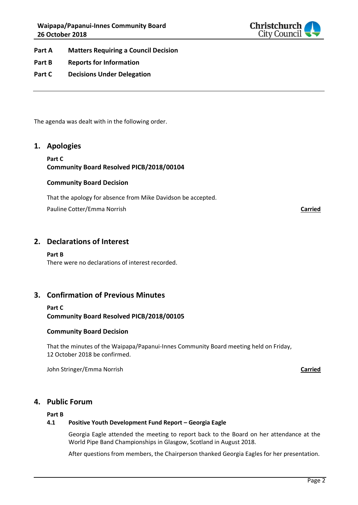

- **Part A Matters Requiring a Council Decision**
- **Part B Reports for Information**
- **Part C Decisions Under Delegation**

The agenda was dealt with in the following order.

#### **1. Apologies**

#### **Part C Community Board Resolved PICB/2018/00104**

#### **Community Board Decision**

That the apology for absence from Mike Davidson be accepted.

Pauline Cotter/Emma Norrish **Carried**

**2. Declarations of Interest**

#### **Part B**

There were no declarations of interest recorded.

### **3. Confirmation of Previous Minutes**

**Part C Community Board Resolved PICB/2018/00105**

#### **Community Board Decision**

That the minutes of the Waipapa/Papanui-Innes Community Board meeting held on Friday, 12 October 2018 be confirmed.

John Stringer/Emma Norrish **Carried**

#### **4. Public Forum**

#### **Part B**

#### **4.1 Positive Youth Development Fund Report – Georgia Eagle**

Georgia Eagle attended the meeting to report back to the Board on her attendance at the World Pipe Band Championships in Glasgow, Scotland in August 2018.

After questions from members, the Chairperson thanked Georgia Eagles for her presentation.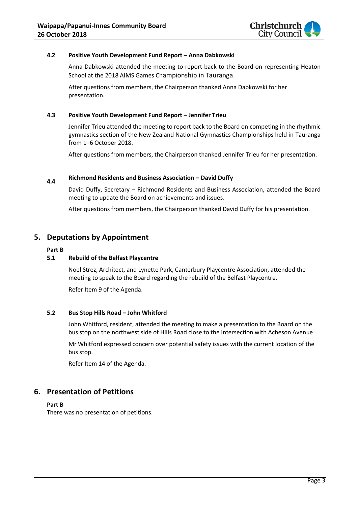

#### **4.2 Positive Youth Development Fund Report – Anna Dabkowski**

Anna Dabkowski attended the meeting to report back to the Board on representing Heaton School at the 2018 AIMS Games Championship in Tauranga.

After questions from members, the Chairperson thanked Anna Dabkowski for her presentation.

#### **4.3 Positive Youth Development Fund Report – Jennifer Trieu**

Jennifer Trieu attended the meeting to report back to the Board on competing in the rhythmic gymnastics section of the New Zealand National Gymnastics Championships held in Tauranga from 1–6 October 2018.

After questions from members, the Chairperson thanked Jennifer Trieu for her presentation.

# **4.4 Richmond Residents and Business Association – David Duffy**

David Duffy, Secretary – Richmond Residents and Business Association, attended the Board meeting to update the Board on achievements and issues.

After questions from members, the Chairperson thanked David Duffy for his presentation.

# **5. Deputations by Appointment**

#### **Part B**

#### **5.1 Rebuild of the Belfast Playcentre**

Noel Strez, Architect, and Lynette Park, Canterbury Playcentre Association, attended the meeting to speak to the Board regarding the rebuild of the Belfast Playcentre.

Refer Item 9 of the Agenda.

#### **5.2 Bus Stop Hills Road – John Whitford**

John Whitford, resident, attended the meeting to make a presentation to the Board on the bus stop on the northwest side of Hills Road close to the intersection with Acheson Avenue.

Mr Whitford expressed concern over potential safety issues with the current location of the bus stop.

Refer Item 14 of the Agenda.

# **6. Presentation of Petitions**

#### **Part B**

There was no presentation of petitions.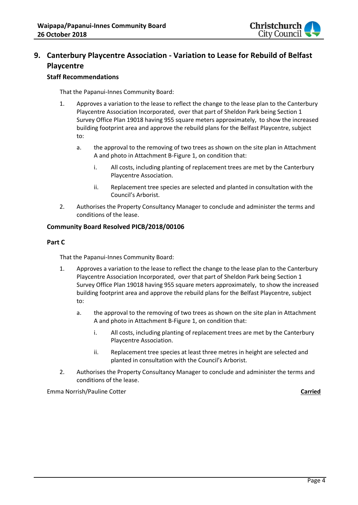

# **9. Canterbury Playcentre Association - Variation to Lease for Rebuild of Belfast Playcentre**

### **Staff Recommendations**

That the Papanui-Innes Community Board:

- 1. Approves a variation to the lease to reflect the change to the lease plan to the Canterbury Playcentre Association Incorporated, over that part of Sheldon Park being Section 1 Survey Office Plan 19018 having 955 square meters approximately, to show the increased building footprint area and approve the rebuild plans for the Belfast Playcentre, subject to:
	- a. the approval to the removing of two trees as shown on the site plan in Attachment A and photo in Attachment B-Figure 1, on condition that:
		- i. All costs, including planting of replacement trees are met by the Canterbury Playcentre Association.
		- ii. Replacement tree species are selected and planted in consultation with the Council's Arborist.
- 2. Authorises the Property Consultancy Manager to conclude and administer the terms and conditions of the lease.

#### **Community Board Resolved PICB/2018/00106**

#### **Part C**

That the Papanui-Innes Community Board:

- 1. Approves a variation to the lease to reflect the change to the lease plan to the Canterbury Playcentre Association Incorporated, over that part of Sheldon Park being Section 1 Survey Office Plan 19018 having 955 square meters approximately, to show the increased building footprint area and approve the rebuild plans for the Belfast Playcentre, subject to:
	- a. the approval to the removing of two trees as shown on the site plan in Attachment A and photo in Attachment B-Figure 1, on condition that:
		- i. All costs, including planting of replacement trees are met by the Canterbury Playcentre Association.
		- ii. Replacement tree species at least three metres in height are selected and planted in consultation with the Council's Arborist.
- 2. Authorises the Property Consultancy Manager to conclude and administer the terms and conditions of the lease.

Emma Norrish/Pauline Cotter **Carried**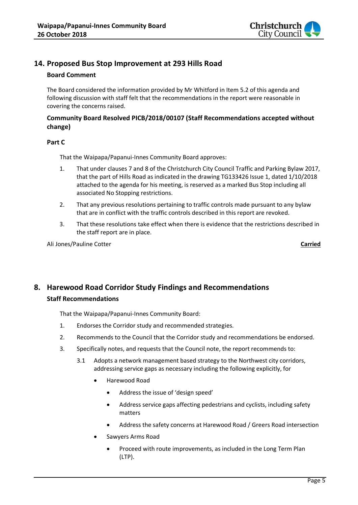

# **14. Proposed Bus Stop Improvement at 293 Hills Road**

#### **Board Comment**

The Board considered the information provided by Mr Whitford in Item 5.2 of this agenda and following discussion with staff felt that the recommendations in the report were reasonable in covering the concerns raised.

#### **Community Board Resolved PICB/2018/00107 (Staff Recommendations accepted without change)**

#### **Part C**

That the Waipapa/Papanui-Innes Community Board approves:

- 1. That under clauses 7 and 8 of the Christchurch City Council Traffic and Parking Bylaw 2017, that the part of Hills Road as indicated in the drawing TG133426 Issue 1, dated 1/10/2018 attached to the agenda for his meeting, is reserved as a marked Bus Stop including all associated No Stopping restrictions.
- 2. That any previous resolutions pertaining to traffic controls made pursuant to any bylaw that are in conflict with the traffic controls described in this report are revoked.
- 3. That these resolutions take effect when there is evidence that the restrictions described in the staff report are in place.

Ali Jones/Pauline Cotter **Carried**

# **8. Harewood Road Corridor Study Findings and Recommendations Staff Recommendations**

That the Waipapa/Papanui-Innes Community Board:

- 1. Endorses the Corridor study and recommended strategies.
- 2. Recommends to the Council that the Corridor study and recommendations be endorsed.
- 3. Specifically notes, and requests that the Council note, the report recommends to:
	- 3.1 Adopts a network management based strategy to the Northwest city corridors, addressing service gaps as necessary including the following explicitly, for
		- Harewood Road
			- Address the issue of 'design speed'
			- Address service gaps affecting pedestrians and cyclists, including safety matters
			- Address the safety concerns at Harewood Road / Greers Road intersection
		- Sawyers Arms Road
			- Proceed with route improvements, as included in the Long Term Plan (LTP).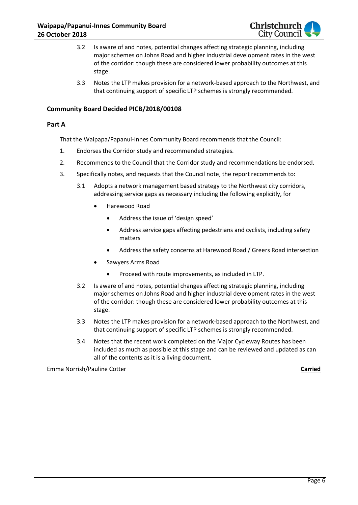

- 3.2 Is aware of and notes, potential changes affecting strategic planning, including major schemes on Johns Road and higher industrial development rates in the west of the corridor: though these are considered lower probability outcomes at this stage.
- 3.3 Notes the LTP makes provision for a network-based approach to the Northwest, and that continuing support of specific LTP schemes is strongly recommended.

#### **Community Board Decided PICB/2018/00108**

#### **Part A**

That the Waipapa/Papanui-Innes Community Board recommends that the Council:

- 1. Endorses the Corridor study and recommended strategies.
- 2. Recommends to the Council that the Corridor study and recommendations be endorsed.
- 3. Specifically notes, and requests that the Council note, the report recommends to:
	- 3.1 Adopts a network management based strategy to the Northwest city corridors, addressing service gaps as necessary including the following explicitly, for
		- Harewood Road
			- Address the issue of 'design speed'
			- Address service gaps affecting pedestrians and cyclists, including safety matters
			- Address the safety concerns at Harewood Road / Greers Road intersection
		- Sawyers Arms Road
			- Proceed with route improvements, as included in LTP.
	- 3.2 Is aware of and notes, potential changes affecting strategic planning, including major schemes on Johns Road and higher industrial development rates in the west of the corridor: though these are considered lower probability outcomes at this stage.
	- 3.3 Notes the LTP makes provision for a network-based approach to the Northwest, and that continuing support of specific LTP schemes is strongly recommended.
	- 3.4 Notes that the recent work completed on the Major Cycleway Routes has been included as much as possible at this stage and can be reviewed and updated as can all of the contents as it is a living document.

Emma Norrish/Pauline Cotter **Carried**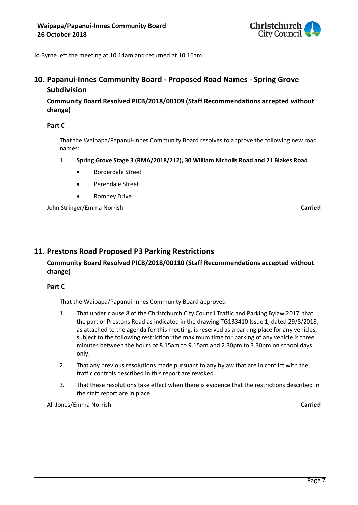

Jo Byrne left the meeting at 10.14am and returned at 10.16am.

# **10. Papanui-Innes Community Board - Proposed Road Names - Spring Grove Subdivision**

**Community Board Resolved PICB/2018/00109 (Staff Recommendations accepted without change)**

#### **Part C**

That the Waipapa/Papanui-Innes Community Board resolves to approve the following new road names:

- 1. **Spring Grove Stage 3 (RMA/2018/212), 30 William Nicholls Road and 21 Blakes Road**
	- Borderdale Street
	- Perendale Street
	- Romney Drive

John Stringer/Emma Norrish **Carried**

# **11. Prestons Road Proposed P3 Parking Restrictions**

# **Community Board Resolved PICB/2018/00110 (Staff Recommendations accepted without change)**

#### **Part C**

That the Waipapa/Papanui-Innes Community Board approves:

- 1. That under clause 8 of the Christchurch City Council Traffic and Parking Bylaw 2017, that the part of Prestons Road as indicated in the drawing TG133410 Issue 1, dated 29/8/2018, as attached to the agenda for this meeting, is reserved as a parking place for any vehicles, subject to the following restriction: the maximum time for parking of any vehicle is three minutes between the hours of 8.15am to 9.15am and 2.30pm to 3.30pm on school days only.
- 2. That any previous resolutions made pursuant to any bylaw that are in conflict with the traffic controls described in this report are revoked.
- 3. That these resolutions take effect when there is evidence that the restrictions described in the staff report are in place.

Ali Jones/Emma Norrish **Carried**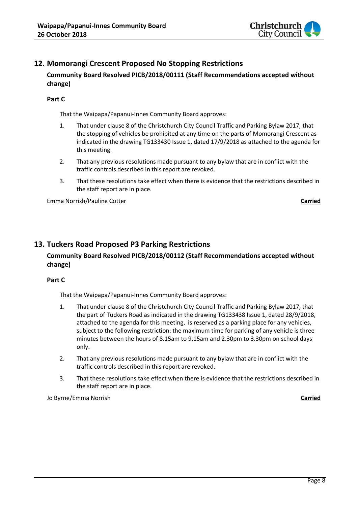

# **12. Momorangi Crescent Proposed No Stopping Restrictions**

# **Community Board Resolved PICB/2018/00111 (Staff Recommendations accepted without change)**

#### **Part C**

That the Waipapa/Papanui-Innes Community Board approves:

- 1. That under clause 8 of the Christchurch City Council Traffic and Parking Bylaw 2017, that the stopping of vehicles be prohibited at any time on the parts of Momorangi Crescent as indicated in the drawing TG133430 Issue 1, dated 17/9/2018 as attached to the agenda for this meeting.
- 2. That any previous resolutions made pursuant to any bylaw that are in conflict with the traffic controls described in this report are revoked.
- 3. That these resolutions take effect when there is evidence that the restrictions described in the staff report are in place.

Emma Norrish/Pauline Cotter **Carried**

# **13. Tuckers Road Proposed P3 Parking Restrictions**

# **Community Board Resolved PICB/2018/00112 (Staff Recommendations accepted without change)**

#### **Part C**

That the Waipapa/Papanui-Innes Community Board approves:

- 1. That under clause 8 of the Christchurch City Council Traffic and Parking Bylaw 2017, that the part of Tuckers Road as indicated in the drawing TG133438 Issue 1, dated 28/9/2018, attached to the agenda for this meeting, is reserved as a parking place for any vehicles, subject to the following restriction: the maximum time for parking of any vehicle is three minutes between the hours of 8.15am to 9.15am and 2.30pm to 3.30pm on school days only.
- 2. That any previous resolutions made pursuant to any bylaw that are in conflict with the traffic controls described in this report are revoked.
- 3. That these resolutions take effect when there is evidence that the restrictions described in the staff report are in place.

Jo Byrne/Emma Norrish **Carried**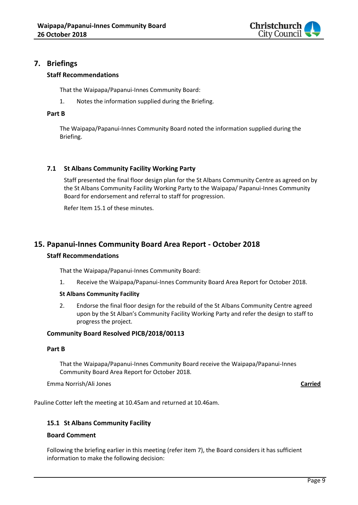

# **7. Briefings**

## **Staff Recommendations**

That the Waipapa/Papanui-Innes Community Board:

1. Notes the information supplied during the Briefing.

#### **Part B**

The Waipapa/Papanui-Innes Community Board noted the information supplied during the Briefing.

# **7.1 St Albans Community Facility Working Party**

Staff presented the final floor design plan for the St Albans Community Centre as agreed on by the St Albans Community Facility Working Party to the Waipapa/ Papanui-Innes Community Board for endorsement and referral to staff for progression.

Refer Item 15.1 of these minutes.

# **15. Papanui-Innes Community Board Area Report - October 2018**

#### **Staff Recommendations**

That the Waipapa/Papanui-Innes Community Board:

1. Receive the Waipapa/Papanui-Innes Community Board Area Report for October 2018.

#### **St Albans Community Facility**

2. Endorse the final floor design for the rebuild of the St Albans Community Centre agreed upon by the St Alban's Community Facility Working Party and refer the design to staff to progress the project.

#### **Community Board Resolved PICB/2018/00113**

#### **Part B**

That the Waipapa/Papanui-Innes Community Board receive the Waipapa/Papanui-Innes Community Board Area Report for October 2018.

Emma Norrish/Ali Jones **Carried**

Pauline Cotter left the meeting at 10.45am and returned at 10.46am.

#### **15.1 St Albans Community Facility**

#### **Board Comment**

Following the briefing earlier in this meeting (refer item 7), the Board considers it has sufficient information to make the following decision: